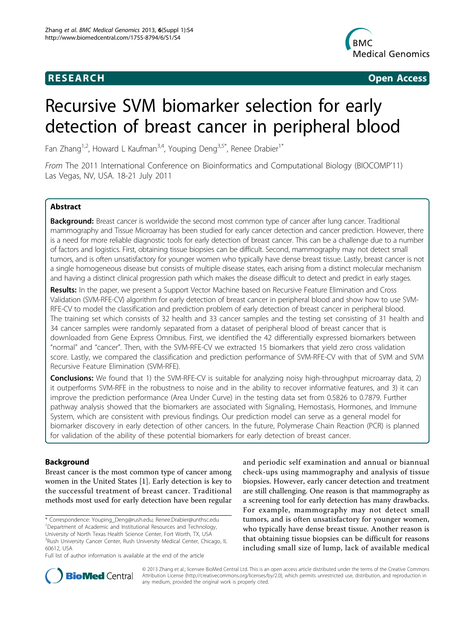# **RESEARCH CONSTRUCTION CONTROL**



# Recursive SVM biomarker selection for early detection of breast cancer in peripheral blood

Fan Zhang<sup>1,2</sup>, Howard L Kaufman<sup>3,4</sup>, Youping Deng<sup>3,5\*</sup>, Renee Drabier<sup>1\*</sup>

From The 2011 International Conference on Bioinformatics and Computational Biology (BIOCOMP'11) Las Vegas, NV, USA. 18-21 July 2011

# Abstract

**Background:** Breast cancer is worldwide the second most common type of cancer after lung cancer. Traditional mammography and Tissue Microarray has been studied for early cancer detection and cancer prediction. However, there is a need for more reliable diagnostic tools for early detection of breast cancer. This can be a challenge due to a number of factors and logistics. First, obtaining tissue biopsies can be difficult. Second, mammography may not detect small tumors, and is often unsatisfactory for younger women who typically have dense breast tissue. Lastly, breast cancer is not a single homogeneous disease but consists of multiple disease states, each arising from a distinct molecular mechanism and having a distinct clinical progression path which makes the disease difficult to detect and predict in early stages.

Results: In the paper, we present a Support Vector Machine based on Recursive Feature Elimination and Cross Validation (SVM-RFE-CV) algorithm for early detection of breast cancer in peripheral blood and show how to use SVM-RFE-CV to model the classification and prediction problem of early detection of breast cancer in peripheral blood. The training set which consists of 32 health and 33 cancer samples and the testing set consisting of 31 health and 34 cancer samples were randomly separated from a dataset of peripheral blood of breast cancer that is downloaded from Gene Express Omnibus. First, we identified the 42 differentially expressed biomarkers between "normal" and "cancer". Then, with the SVM-RFE-CV we extracted 15 biomarkers that yield zero cross validation score. Lastly, we compared the classification and prediction performance of SVM-RFE-CV with that of SVM and SVM Recursive Feature Elimination (SVM-RFE).

**Conclusions:** We found that 1) the SVM-RFE-CV is suitable for analyzing noisy high-throughput microarray data, 2) it outperforms SVM-RFE in the robustness to noise and in the ability to recover informative features, and 3) it can improve the prediction performance (Area Under Curve) in the testing data set from 0.5826 to 0.7879. Further pathway analysis showed that the biomarkers are associated with Signaling, Hemostasis, Hormones, and Immune System, which are consistent with previous findings. Our prediction model can serve as a general model for biomarker discovery in early detection of other cancers. In the future, Polymerase Chain Reaction (PCR) is planned for validation of the ability of these potential biomarkers for early detection of breast cancer.

# Background

Breast cancer is the most common type of cancer among women in the United States [[1\]](#page-9-0). Early detection is key to the successful treatment of breast cancer. Traditional methods most used for early detection have been regular

and periodic self examination and annual or biannual check-ups using mammography and analysis of tissue biopsies. However, early cancer detection and treatment are still challenging. One reason is that mammography as a screening tool for early detection has many drawbacks. For example, mammography may not detect small tumors, and is often unsatisfactory for younger women, who typically have dense breast tissue. Another reason is that obtaining tissue biopsies can be difficult for reasons including small size of lump, lack of available medical



© 2013 Zhang et al.; licensee BioMed Central Ltd. This is an open access article distributed under the terms of the Creative Commons Attribution License [\(http://creativecommons.org/licenses/by/2.0](http://creativecommons.org/licenses/by/2.0)), which permits unrestricted use, distribution, and reproduction in any medium, provided the original work is properly cited.

<sup>\*</sup> Correspondence: [Youping\\_Deng@rush.edu](mailto:Youping_Deng@rush.edu); [Renee.Drabier@unthsc.edu](mailto:Renee.Drabier@unthsc.edu) <sup>1</sup>Department of Academic and Institutional Resources and Technology, University of North Texas Health Science Center, Fort Worth, TX, USA <sup>3</sup>Rush University Cancer Center, Rush University Medical Center, Chicago, IL 60612, USA

Full list of author information is available at the end of the article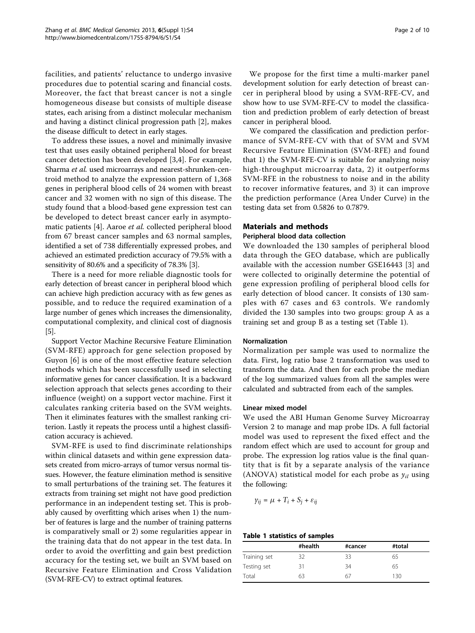<span id="page-1-0"></span>facilities, and patients' reluctance to undergo invasive procedures due to potential scaring and financial costs. Moreover, the fact that breast cancer is not a single homogeneous disease but consists of multiple disease states, each arising from a distinct molecular mechanism and having a distinct clinical progression path [[2\]](#page-9-0), makes the disease difficult to detect in early stages.

To address these issues, a novel and minimally invasive test that uses easily obtained peripheral blood for breast cancer detection has been developed [[3,4](#page-9-0)]. For example, Sharma et al. used microarrays and nearest-shrunken-centroid method to analyze the expression pattern of 1,368 genes in peripheral blood cells of 24 women with breast cancer and 32 women with no sign of this disease. The study found that a blood-based gene expression test can be developed to detect breast cancer early in asymptomatic patients [\[4](#page-9-0)]. Aaroe et al. collected peripheral blood from 67 breast cancer samples and 63 normal samples, identified a set of 738 differentially expressed probes, and achieved an estimated prediction accuracy of 79.5% with a sensitivity of 80.6% and a specificity of 78.3% [\[3\]](#page-9-0).

There is a need for more reliable diagnostic tools for early detection of breast cancer in peripheral blood which can achieve high prediction accuracy with as few genes as possible, and to reduce the required examination of a large number of genes which increases the dimensionality, computational complexity, and clinical cost of diagnosis [[5\]](#page-9-0).

Support Vector Machine Recursive Feature Elimination (SVM-RFE) approach for gene selection proposed by Guyon [\[6](#page-9-0)] is one of the most effective feature selection methods which has been successfully used in selecting informative genes for cancer classification. It is a backward selection approach that selects genes according to their influence (weight) on a support vector machine. First it calculates ranking criteria based on the SVM weights. Then it eliminates features with the smallest ranking criterion. Lastly it repeats the process until a highest classification accuracy is achieved.

SVM-RFE is used to find discriminate relationships within clinical datasets and within gene expression datasets created from micro-arrays of tumor versus normal tissues. However, the feature elimination method is sensitive to small perturbations of the training set. The features it extracts from training set might not have good prediction performance in an independent testing set. This is probably caused by overfitting which arises when 1) the number of features is large and the number of training patterns is comparatively small or 2) some regularities appear in the training data that do not appear in the test data. In order to avoid the overfitting and gain best prediction accuracy for the testing set, we built an SVM based on Recursive Feature Elimination and Cross Validation (SVM-RFE-CV) to extract optimal features.

We propose for the first time a multi-marker panel development solution for early detection of breast cancer in peripheral blood by using a SVM-RFE-CV, and show how to use SVM-RFE-CV to model the classification and prediction problem of early detection of breast cancer in peripheral blood.

We compared the classification and prediction performance of SVM-RFE-CV with that of SVM and SVM Recursive Feature Elimination (SVM-RFE) and found that 1) the SVM-RFE-CV is suitable for analyzing noisy high-throughput microarray data, 2) it outperforms SVM-RFE in the robustness to noise and in the ability to recover informative features, and 3) it can improve the prediction performance (Area Under Curve) in the testing data set from 0.5826 to 0.7879.

## Materials and methods

## Peripheral blood data collection

We downloaded the 130 samples of peripheral blood data through the GEO database, which are publically available with the accession number GSE16443 [[3\]](#page-9-0) and were collected to originally determine the potential of gene expression profiling of peripheral blood cells for early detection of blood cancer. It consists of 130 samples with 67 cases and 63 controls. We randomly divided the 130 samples into two groups: group A as a training set and group B as a testing set (Table 1).

## Normalization

Normalization per sample was used to normalize the data. First, log ratio base 2 transformation was used to transform the data. And then for each probe the median of the log summarized values from all the samples were calculated and subtracted from each of the samples.

## Linear mixed model

We used the ABI Human Genome Survey Microarray Version 2 to manage and map probe IDs. A full factorial model was used to represent the fixed effect and the random effect which are used to account for group and probe. The expression log ratios value is the final quantity that is fit by a separate analysis of the variance (ANOVA) statistical model for each probe as  $y_{il}$  using the following:

$$
\gamma_{ij} = \mu + T_i + S_j + \varepsilon_{ij}
$$

## Table 1 statistics of samples

|              | #health | #cancer | #total |
|--------------|---------|---------|--------|
| Training set | 32      | 33      | 65     |
| Testing set  | 31      | 34      | 65     |
| Total        | 63      | 67      | 130    |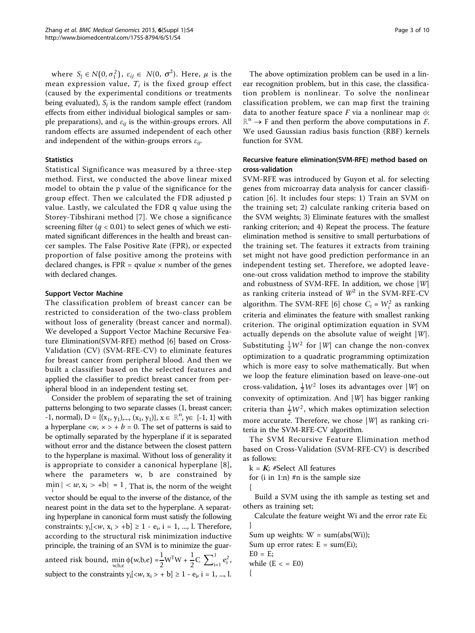where  $S_j \in N(0, \sigma_1^2)$ ,  $\varepsilon_{ij} \in N(0, \sigma^2)$ . Here,  $\mu$  is the mean expression value,  $T_i$  is the fixed group effect (caused by the experimental conditions or treatments being evaluated),  $S_i$  is the random sample effect (random effects from either individual biological samples or sample preparations), and  $\varepsilon_{ii}$  is the within-groups errors. All random effects are assumed independent of each other and independent of the within-groups errors  $\varepsilon_{ii}$ .

## **Statistics**

Statistical Significance was measured by a three-step method. First, we conducted the above linear mixed model to obtain the p value of the significance for the group effect. Then we calculated the FDR adjusted p value. Lastly, we calculated the FDR q value using the Storey-Tibshirani method [[7](#page-9-0)]. We chose a significance screening filter  $(q < 0.01)$  to select genes of which we estimated significant differences in the health and breast cancer samples. The False Positive Rate (FPR), or expected proportion of false positive among the proteins with declared changes, is  $FPR = \text{qvalue} \times \text{number of the genes}$ with declared changes.

## Support Vector Machine

The classification problem of breast cancer can be restricted to consideration of the two-class problem without loss of generality (breast cancer and normal). We developed a Support Vector Machine Recursive Feature Elimination(SVM-RFE) method [[6](#page-9-0)] based on Cross-Validation (CV) (SVM-RFE-CV) to eliminate features for breast cancer from peripheral blood. And then we built a classifier based on the selected features and applied the classifier to predict breast cancer from peripheral blood in an independent testing set.

Consider the problem of separating the set of training patterns belonging to two separate classes (1, breast cancer; -1, normal), D = { $(x_1, y_1)$ ,...,  $(x_1, y_1)$ },  $x \in \mathbb{R}^n$ ,  $y \in \{-1, 1\}$  with a hyperplane  $\langle w, x \rangle + b = 0$ . The set of patterns is said to be optimally separated by the hyperplane if it is separated without error and the distance between the closest pattern to the hyperplane is maximal. Without loss of generality it is appropriate to consider a canonical hyperplane [[8\]](#page-9-0), where the parameters w, b are constrained by  $\min_{i} | < w, x_i > +b| = 1$ . That is, the norm of the weight vector should be equal to the inverse of the distance, of the nearest point in the data set to the hyperplane. A separating hyperplane in canonical form must satisfy the following constraints:  $y_i[\langle w, x_i \rangle + b] \ge 1 - e_i$ ,  $i = 1, ..., l$ . Therefore, according to the structural risk minimization inductive principle, the training of an SVM is to minimize the guaranteed risk bound,  $\min_{w,b,e} \phi(w,b,e) = \frac{1}{2}W^{T}W + \frac{1}{2}$  $\frac{1}{2}C \sum_{i=1}^{1} e_i^2$ , subject to the constraints  $y_i$ [< $w$ ,  $x_i$  > + b] ≥ 1 -  $e_i$ , i = 1, ..., l.

The above optimization problem can be used in a linear recognition problem, but in this case, the classification problem is nonlinear. To solve the nonlinear classification problem, we can map first the training data to another feature space F via a nonlinear map  $\phi$ :  $\mathbb{R}^n \to F$  and then perform the above computations in F. We used Gaussian radius basis function (RBF) kernels function for SVM.

# Recursive feature elimination(SVM-RFE) method based on cross-validation

SVM-RFE was introduced by Guyon et al. for selecting genes from microarray data analysis for cancer classification [[6\]](#page-9-0). It includes four steps: 1) Train an SVM on the training set; 2) calculate ranking criteria based on the SVM weights; 3) Eliminate features with the smallest ranking criterion; and 4) Repeat the process. The feature elimination method is sensitive to small perturbations of the training set. The features it extracts from training set might not have good prediction performance in an independent testing set. Therefore, we adopted leaveone-out cross validation method to improve the stability and robustness of SVM-RFE. In addition, we chose  $|W|$ as ranking criteria instead of  $W^2$  in the SVM-RFE-CV algorithm. The SVM-RFE [[6\]](#page-9-0) chose  $C_i = W_i^2$  as ranking criteria and eliminates the feature with smallest ranking criterion. The original optimization equation in SVM actually depends on the absolute value of weight  $|W|$ . Substituting  $\frac{1}{2}W^2$  for  $|W|$  can change the non-convex optimization to a quadratic programming optimization which is more easy to solve mathematically. But when we loop the feature elimination based on leave-one-out cross-validation,  $\frac{1}{2}W^2$  loses its advantages over  $|W|$  on convexity of optimization. And  $|W|$  has bigger ranking criteria than  $\frac{1}{2}W^2$ , which makes optimization selection more accurate. Therefore, we chose  $|W|$  as ranking criteria in the SVM-RFE-CV algorithm.

The SVM Recursive Feature Elimination method based on Cross-Validation (SVM-RFE-CV) is described as follows:

 $k = K$ ; #Select All features

for (i in 1:n)  $\#n$  is the sample size

{ Build a SVM using the ith sample as testing set and others as training set;

Calculate the feature weight Wi and the error rate Ei; }

Sum up weights:  $W = sum(abs(Wi))$ ; Sum up error rates:  $E = sum(Ei)$ ;  $E0 = E$ ; while  $(E < E0)$ 

{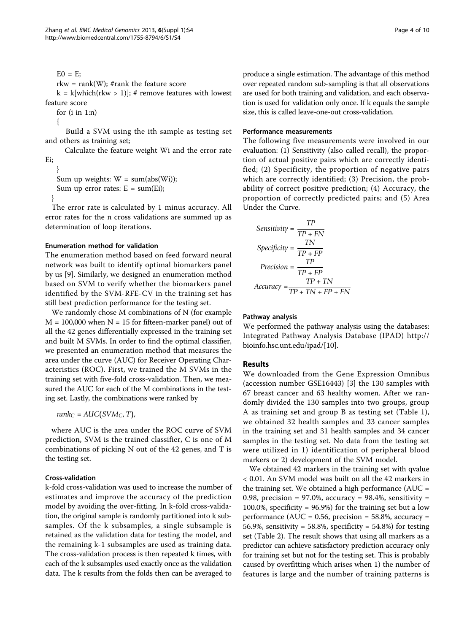$E0 = E$ ;

rkw = rank(W); #rank the feature score

 $k = k[which(rkw > 1)];$  # remove features with lowest feature score

for (i in 1:n)

{

Build a SVM using the ith sample as testing set and others as training set;

Calculate the feature weight Wi and the error rate Ei;

} Sum up weights:  $W = sum(abs(Wi))$ ;

Sum up error rates:  $E = sum(Ei)$ ;

}

The error rate is calculated by 1 minus accuracy. All error rates for the n cross validations are summed up as determination of loop iterations.

# Enumeration method for validation

The enumeration method based on feed forward neural network was built to identify optimal biomarkers panel by us [\[9](#page-9-0)]. Similarly, we designed an enumeration method based on SVM to verify whether the biomarkers panel identified by the SVM-RFE-CV in the training set has still best prediction performance for the testing set.

We randomly chose M combinations of N (for example  $M = 100,000$  when  $N = 15$  for fifteen-marker panel) out of all the 42 genes differentially expressed in the training set and built M SVMs. In order to find the optimal classifier, we presented an enumeration method that measures the area under the curve (AUC) for Receiver Operating Characteristics (ROC). First, we trained the M SVMs in the training set with five-fold cross-validation. Then, we measured the AUC for each of the M combinations in the testing set. Lastly, the combinations were ranked by

 $rank_C = AUC(SVM_C, T)$ ,

where AUC is the area under the ROC curve of SVM prediction, SVM is the trained classifier, C is one of M combinations of picking N out of the 42 genes, and T is the testing set.

# Cross-validation

k-fold cross-validation was used to increase the number of estimates and improve the accuracy of the prediction model by avoiding the over-fitting. In k-fold cross-validation, the original sample is randomly partitioned into k subsamples. Of the k subsamples, a single subsample is retained as the validation data for testing the model, and the remaining k-1 subsamples are used as training data. The cross-validation process is then repeated k times, with each of the k subsamples used exactly once as the validation data. The k results from the folds then can be averaged to produce a single estimation. The advantage of this method over repeated random sub-sampling is that all observations are used for both training and validation, and each observation is used for validation only once. If k equals the sample size, this is called leave-one-out cross-validation.

# Performance measurements

The following five measurements were involved in our evaluation: (1) Sensitivity (also called recall), the proportion of actual positive pairs which are correctly identified; (2) Specificity, the proportion of negative pairs which are correctly identified; (3) Precision, the probability of correct positive prediction; (4) Accuracy, the proportion of correctly predicted pairs; and (5) Area Under the Curve.

Sensitivity = 
$$
\frac{TP}{TP + FN}
$$
  
\nSpecificity = 
$$
\frac{TN}{TP + FP}
$$
  
\nPrecision = 
$$
\frac{TP}{TP + FP}
$$
  
\nAccuracy = 
$$
\frac{TP + TN}{TP + TN + FP + FN}
$$

# Pathway analysis

We performed the pathway analysis using the databases: Integrated Pathway Analysis Database (IPAD) [http://](http://bioinfo.hsc.unt.edu/ipad/) [bioinfo.hsc.unt.edu/ipad/](http://bioinfo.hsc.unt.edu/ipad/)[\[10](#page-9-0)].

# Results

We downloaded from the Gene Expression Omnibus (accession number GSE16443) [\[3](#page-9-0)] the 130 samples with 67 breast cancer and 63 healthy women. After we randomly divided the 130 samples into two groups, group A as training set and group B as testing set (Table [1\)](#page-1-0), we obtained 32 health samples and 33 cancer samples in the training set and 31 health samples and 34 cancer samples in the testing set. No data from the testing set were utilized in 1) identification of peripheral blood markers or 2) development of the SVM model.

We obtained 42 markers in the training set with qvalue < 0.01. An SVM model was built on all the 42 markers in the training set. We obtained a high performance (AUC = 0.98, precision = 97.0%, accuracy = 98.4%, sensitivity = 100.0%, specificity = 96.9%) for the training set but a low performance (AUC =  $0.56$ , precision =  $58.8\%$ , accuracy = 56.9%, sensitivity = 58.8%, specificity = 54.8%) for testing set (Table [2](#page-4-0)). The result shows that using all markers as a predictor can achieve satisfactory prediction accuracy only for training set but not for the testing set. This is probably caused by overfitting which arises when 1) the number of features is large and the number of training patterns is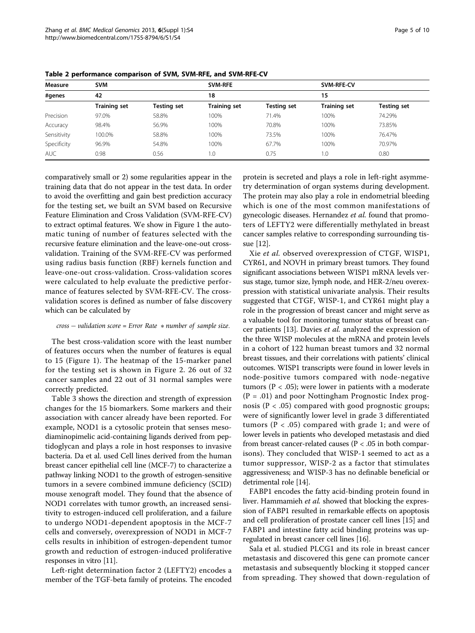| Measure     | <b>SVM</b>          |                    | <b>SVM-RFE</b>      |                    | <b>SVM-RFE-CV</b>   |                    |  |
|-------------|---------------------|--------------------|---------------------|--------------------|---------------------|--------------------|--|
| #genes      | 42                  |                    | 18                  |                    |                     | 15                 |  |
|             | <b>Training set</b> | <b>Testing set</b> | <b>Training set</b> | <b>Testing set</b> | <b>Training set</b> | <b>Testing set</b> |  |
| Precision   | 97.0%               | 58.8%              | 100%                | 71.4%              | 100%                | 74.29%             |  |
| Accuracy    | 98.4%               | 56.9%              | 100%                | 70.8%              | 100%                | 73.85%             |  |
| Sensitivity | 100.0%              | 58.8%              | 100%                | 73.5%              | 100%                | 76.47%             |  |
| Specificity | 96.9%               | 54.8%              | 100%                | 67.7%              | 100%                | 70.97%             |  |
| <b>AUC</b>  | 0.98                | 0.56               | 1.0                 | 0.75               | 1.0                 | 0.80               |  |

<span id="page-4-0"></span>Table 2 performance comparison of SVM, SVM-RFE, and SVM-RFE-CV

comparatively small or 2) some regularities appear in the training data that do not appear in the test data. In order to avoid the overfitting and gain best prediction accuracy for the testing set, we built an SVM based on Recursive Feature Elimination and Cross Validation (SVM-RFE-CV) to extract optimal features. We show in Figure [1](#page-5-0) the automatic tuning of number of features selected with the recursive feature elimination and the leave-one-out crossvalidation. Training of the SVM-RFE-CV was performed using radius basis function (RBF) kernels function and leave-one-out cross-validation. Cross-validation scores were calculated to help evaluate the predictive performance of features selected by SVM-RFE-CV. The crossvalidation scores is defined as number of false discovery which can be calculated by

## *cross* − *validation score* = *Error Rate* ∗ *number of sample size*.

The best cross-validation score with the least number of features occurs when the number of features is equal to 15 (Figure [1\)](#page-5-0). The heatmap of the 15-marker panel for the testing set is shown in Figure [2.](#page-6-0) 26 out of 32 cancer samples and 22 out of 31 normal samples were correctly predicted.

Table [3](#page-7-0) shows the direction and strength of expression changes for the 15 biomarkers. Some markers and their association with cancer already have been reported. For example, NOD1 is a cytosolic protein that senses mesodiaminopimelic acid-containing ligands derived from peptidoglycan and plays a role in host responses to invasive bacteria. Da et al. used Cell lines derived from the human breast cancer epithelial cell line (MCF-7) to characterize a pathway linking NOD1 to the growth of estrogen-sensitive tumors in a severe combined immune deficiency (SCID) mouse xenograft model. They found that the absence of NOD1 correlates with tumor growth, an increased sensitivity to estrogen-induced cell proliferation, and a failure to undergo NOD1-dependent apoptosis in the MCF-7 cells and conversely, overexpression of NOD1 in MCF-7 cells results in inhibition of estrogen-dependent tumor growth and reduction of estrogen-induced proliferative responses in vitro [[11](#page-9-0)].

Left-right determination factor 2 (LEFTY2) encodes a member of the TGF-beta family of proteins. The encoded

protein is secreted and plays a role in left-right asymmetry determination of organ systems during development. The protein may also play a role in endometrial bleeding which is one of the most common manifestations of gynecologic diseases. Hernandez et al. found that promoters of LEFTY2 were differentially methylated in breast cancer samples relative to corresponding surrounding tissue [\[12\]](#page-9-0).

Xie et al. observed overexpression of CTGF, WISP1, CYR61, and NOVH in primary breast tumors. They found significant associations between WISP1 mRNA levels versus stage, tumor size, lymph node, and HER-2/neu overexpression with statistical univariate analysis. Their results suggested that CTGF, WISP-1, and CYR61 might play a role in the progression of breast cancer and might serve as a valuable tool for monitoring tumor status of breast cancer patients [[13\]](#page-9-0). Davies et al. analyzed the expression of the three WISP molecules at the mRNA and protein levels in a cohort of 122 human breast tumors and 32 normal breast tissues, and their correlations with patients' clinical outcomes. WISP1 transcripts were found in lower levels in node-positive tumors compared with node-negative tumors ( $P < .05$ ); were lower in patients with a moderate  $(P = .01)$  and poor Nottingham Prognostic Index prognosis ( $P < .05$ ) compared with good prognostic groups; were of significantly lower level in grade 3 differentiated tumors ( $P < .05$ ) compared with grade 1; and were of lower levels in patients who developed metastasis and died from breast cancer-related causes ( $P < .05$  in both comparisons). They concluded that WISP-1 seemed to act as a tumor suppressor, WISP-2 as a factor that stimulates aggressiveness; and WISP-3 has no definable beneficial or detrimental role [\[14\]](#page-9-0).

FABP1 encodes the fatty acid-binding protein found in liver. Hammamieh et al. showed that blocking the expression of FABP1 resulted in remarkable effects on apoptosis and cell proliferation of prostate cancer cell lines [\[15\]](#page-9-0) and FABP1 and intestine fatty acid binding proteins was upregulated in breast cancer cell lines [\[16\]](#page-9-0).

Sala et al. studied PLCG1 and its role in breast cancer metastasis and discovered this gene can promote cancer metastasis and subsequently blocking it stopped cancer from spreading. They showed that down-regulation of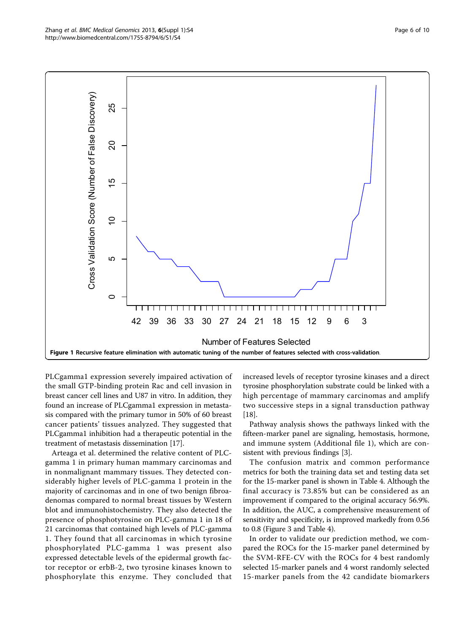<span id="page-5-0"></span>

PLCgamma1 expression severely impaired activation of the small GTP-binding protein Rac and cell invasion in breast cancer cell lines and U87 in vitro. In addition, they found an increase of PLCgamma1 expression in metastasis compared with the primary tumor in 50% of 60 breast cancer patients' tissues analyzed. They suggested that PLCgamma1 inhibition had a therapeutic potential in the treatment of metastasis dissemination [\[17\]](#page-9-0).

Arteaga et al. determined the relative content of PLCgamma 1 in primary human mammary carcinomas and in nonmalignant mammary tissues. They detected considerably higher levels of PLC-gamma 1 protein in the majority of carcinomas and in one of two benign fibroadenomas compared to normal breast tissues by Western blot and immunohistochemistry. They also detected the presence of phosphotyrosine on PLC-gamma 1 in 18 of 21 carcinomas that contained high levels of PLC-gamma 1. They found that all carcinomas in which tyrosine phosphorylated PLC-gamma 1 was present also expressed detectable levels of the epidermal growth factor receptor or erbB-2, two tyrosine kinases known to phosphorylate this enzyme. They concluded that

increased levels of receptor tyrosine kinases and a direct tyrosine phosphorylation substrate could be linked with a high percentage of mammary carcinomas and amplify two successive steps in a signal transduction pathway [[18\]](#page-9-0).

Pathway analysis shows the pathways linked with the fifteen-marker panel are signaling, hemostasis, hormone, and immune system (Additional file [1\)](#page-8-0), which are consistent with previous findings [[3](#page-9-0)].

The confusion matrix and common performance metrics for both the training data set and testing data set for the 15-marker panel is shown in Table [4.](#page-7-0) Although the final accuracy is 73.85% but can be considered as an improvement if compared to the original accuracy 56.9%. In addition, the AUC, a comprehensive measurement of sensitivity and specificity, is improved markedly from 0.56 to 0.8 (Figure [3](#page-8-0) and Table [4\)](#page-7-0).

In order to validate our prediction method, we compared the ROCs for the 15-marker panel determined by the SVM-RFE-CV with the ROCs for 4 best randomly selected 15-marker panels and 4 worst randomly selected 15-marker panels from the 42 candidate biomarkers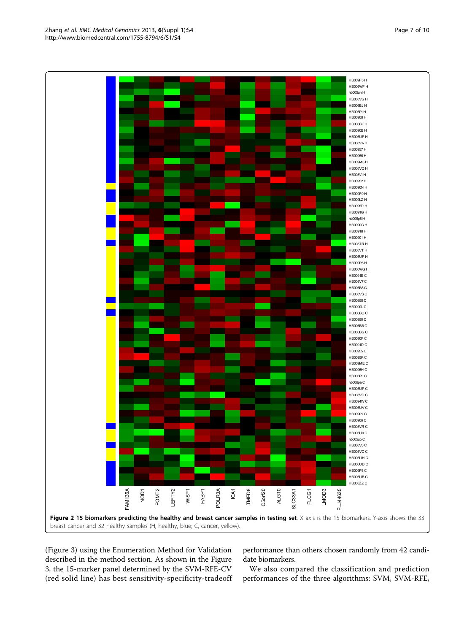(Figure [3\)](#page-8-0) using the Enumeration Method for Validation described in the method section. As shown in the Figure [3,](#page-8-0) the 15-marker panel determined by the SVM-RFE-CV (red solid line) has best sensitivity-specificity-tradeoff

performance than others chosen randomly from 42 candidate biomarkers.

We also compared the classification and prediction performances of the three algorithms: SVM, SVM-RFE,

<span id="page-6-0"></span>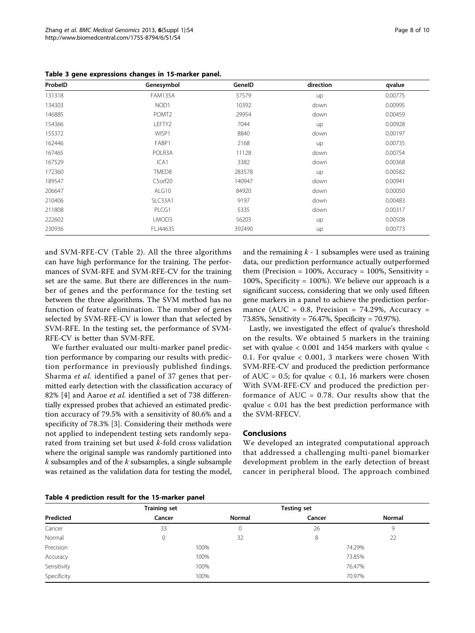| ProbelD | Genesymbol        | GenelD | direction | qvalue  |
|---------|-------------------|--------|-----------|---------|
| 131318  | <b>FAM135A</b>    | 57579  | up        | 0.00775 |
| 134303  | NOD1              | 10392  | down      | 0.00995 |
| 146885  | POMT <sub>2</sub> | 29954  | down      | 0.00459 |
| 154366  | LEFTY2            | 7044   | up        | 0.00928 |
| 155372  | WISP1             | 8840   | down      | 0.00197 |
| 162446  | FABP1             | 2168   | up        | 0.00735 |
| 167465  | POLR3A            | 11128  | down      | 0.00754 |
| 167529  | ICA1              | 3382   | down      | 0.00368 |
| 172360  | TMED8             | 283578 | up        | 0.00582 |
| 189547  | C5orf20           | 140947 | down      | 0.00941 |
| 206647  | ALG10             | 84920  | down      | 0.00050 |
| 210406  | SLC33A1           | 9197   | down      | 0.00483 |
| 211808  | PLCG1             | 5335   | down      | 0.00317 |
| 222602  | LMOD3             | 56203  | up        | 0.00508 |
| 230936  | FLJ44635          | 392490 | up        | 0.00773 |

<span id="page-7-0"></span>Table 3 gene expressions changes in 15-marker panel.

and SVM-RFE-CV (Table [2](#page-4-0)). All the three algorithms can have high performance for the training. The performances of SVM-RFE and SVM-RFE-CV for the training set are the same. But there are differences in the number of genes and the performance for the testing set between the three algorithms. The SVM method has no function of feature elimination. The number of genes selected by SVM-RFE-CV is lower than that selected by SVM-RFE. In the testing set, the performance of SVM-RFE-CV is better than SVM-RFE.

We further evaluated our multi-marker panel prediction performance by comparing our results with prediction performance in previously published findings. Sharma et al. identified a panel of 37 genes that permitted early detection with the classification accuracy of 82% [[4\]](#page-9-0) and Aaroe et al. identified a set of 738 differentially expressed probes that achieved an estimated prediction accuracy of 79.5% with a sensitivity of 80.6% and a specificity of 78.3% [[3\]](#page-9-0). Considering their methods were not applied to independent testing sets randomly separated from training set but used k-fold cross validation where the original sample was randomly partitioned into  $k$  subsamples and of the  $k$  subsamples, a single subsample was retained as the validation data for testing the model,

and the remaining  $k - 1$  subsamples were used as training data, our prediction performance actually outperformed them (Precision = 100%, Accuracy = 100%, Sensitivity = 100%, Specificity = 100%). We believe our approach is a significant success, considering that we only used fifteen gene markers in a panel to achieve the prediction performance (AUC =  $0.8$ , Precision = 74.29%, Accuracy = 73.85%, Sensitivity = 76.47%, Specificity = 70.97%).

Lastly, we investigated the effect of qvalue's threshold on the results. We obtained 5 markers in the training set with qvalue < 0.001 and 1454 markers with qvalue < 0.1. For qvalue < 0.001, 3 markers were chosen With SVM-RFE-CV and produced the prediction performance of AUC =  $0.5$ ; for qvalue <  $0.1$ , 16 markers were chosen With SVM-RFE-CV and produced the prediction performance of AUC = 0.78. Our results show that the qvalue < 0.01 has the best prediction performance with the SVM-RFECV.

# Conclusions

We developed an integrated computational approach that addressed a challenging multi-panel biomarker development problem in the early detection of breast cancer in peripheral blood. The approach combined

|  |  | Table 4 prediction result for the 15-marker panel |  |  |  |  |  |
|--|--|---------------------------------------------------|--|--|--|--|--|
|--|--|---------------------------------------------------|--|--|--|--|--|

| Predicted   | <b>Training set</b> |               | <b>Testing set</b> |               |  |
|-------------|---------------------|---------------|--------------------|---------------|--|
|             | Cancer              | <b>Normal</b> | Cancer             | <b>Normal</b> |  |
| Cancer      | 33                  | 0             | 26                 | 9             |  |
| Normal      | $\mathbf{0}$        | 32            | 8                  | 22            |  |
| Precision   |                     | 100%          | 74.29%             |               |  |
| Accuracy    | 100%                |               | 73.85%             |               |  |
| Sensitivity | 100%                |               | 76.47%             |               |  |
| Specificity | 100%                |               | 70.97%             |               |  |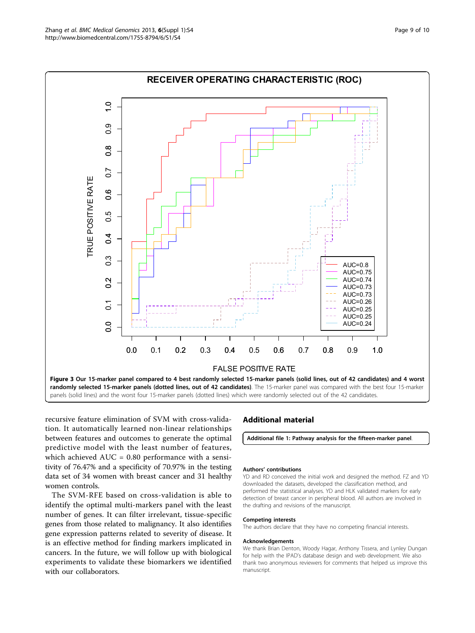<span id="page-8-0"></span>

recursive feature elimination of SVM with cross-validation. It automatically learned non-linear relationships between features and outcomes to generate the optimal predictive model with the least number of features, which achieved  $AUC = 0.80$  performance with a sensitivity of 76.47% and a specificity of 70.97% in the testing data set of 34 women with breast cancer and 31 healthy women controls.

The SVM-RFE based on cross-validation is able to identify the optimal multi-markers panel with the least number of genes. It can filter irrelevant, tissue-specific genes from those related to malignancy. It also identifies gene expression patterns related to severity of disease. It is an effective method for finding markers implicated in cancers. In the future, we will follow up with biological experiments to validate these biomarkers we identified with our collaborators.

# Additional material

[Additional file 1: P](http://www.biomedcentral.com/content/supplementary/1755-8794-6-S1-S4-S1.docx)athway analysis for the fifteen-marker panel.

#### Authors' contributions

YD and RD conceived the initial work and designed the method. FZ and YD downloaded the datasets, developed the classification method, and performed the statistical analyses. YD and HLK validated markers for early detection of breast cancer in peripheral blood. All authors are involved in the drafting and revisions of the manuscript.

#### Competing interests

The authors declare that they have no competing financial interests.

#### Acknowledgements

We thank Brian Denton, Woody Hagar, Anthony Tissera, and Lynley Dungan for help with the IPAD's database design and web development. We also thank two anonymous reviewers for comments that helped us improve this manuscript.